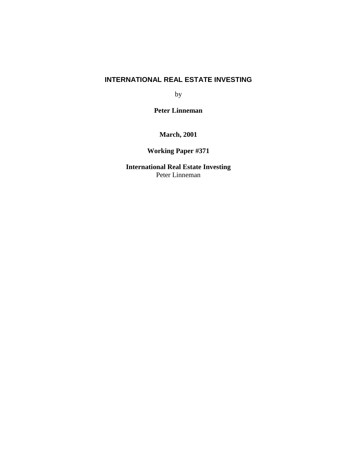# **INTERNATIONAL REAL ESTATE INVESTING**

by

**Peter Linneman** 

**March, 2001** 

**Working Paper #371** 

**International Real Estate Investing**  Peter Linneman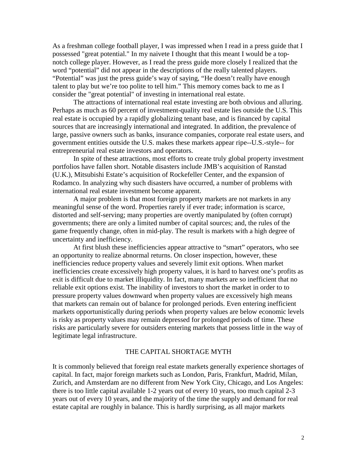As a freshman college football player, I was impressed when I read in a press guide that I possessed "great potential." In my naivete I thought that this meant I would be a topnotch college player. However, as I read the press guide more closely I realized that the word "potential" did not appear in the descriptions of the really talented players. "Potential" was just the press guide's way of saying, "He doesn't really have enough talent to play but we're too polite to tell him." This memory comes back to me as I consider the "great potential" of investing in international real estate.

 The attractions of international real estate investing are both obvious and alluring. Perhaps as much as 60 percent of investment-quality real estate lies outside the U.S. This real estate is occupied by a rapidly globalizing tenant base, and is financed by capital sources that are increasingly international and integrated. In addition, the prevalence of large, passive owners such as banks, insurance companies, corporate real estate users, and government entities outside the U.S. makes these markets appear ripe--U.S.-style-- for entrepreneurial real estate investors and operators.

 In spite of these attractions, most efforts to create truly global property investment portfolios have fallen short. Notable disasters include JMB's acquisition of Ranstad (U.K.), Mitsubishi Estate's acquisition of Rockefeller Center, and the expansion of Rodamco. In analyzing why such disasters have occurred, a number of problems with international real estate investment become apparent.

A major problem is that most foreign property markets are not markets in any meaningful sense of the word. Properties rarely if ever trade; information is scarce, distorted and self-serving; many properties are overtly manipulated by (often corrupt) governments; there are only a limited number of capital sources; and, the rules of the game frequently change, often in mid-play. The result is markets with a high degree of uncertainty and inefficiency.

At first blush these inefficiencies appear attractive to "smart" operators, who see an opportunity to realize abnormal returns. On closer inspection, however, these inefficiencies reduce property values and severely limit exit options. When market inefficiencies create excessively high property values, it is hard to harvest one's profits as exit is difficult due to market illiquidity. In fact, many markets are so inefficient that no reliable exit options exist. The inability of investors to short the market in order to to pressure property values downward when property values are excessively high means that markets can remain out of balance for prolonged periods. Even entering inefficient markets opportunistically during periods when property values are below economic levels is risky as property values may remain depressed for prolonged periods of time. These risks are particularly severe for outsiders entering markets that possess little in the way of legitimate legal infrastructure.

### THE CAPITAL SHORTAGE MYTH

It is commonly believed that foreign real estate markets generally experience shortages of capital. In fact, major foreign markets such as London, Paris, Frankfurt, Madrid, Milan, Zurich, and Amsterdam are no different from New York City, Chicago, and Los Angeles: there is too little capital available 1-2 years out of every 10 years, too much capital 2-3 years out of every 10 years, and the majority of the time the supply and demand for real estate capital are roughly in balance. This is hardly surprising, as all major markets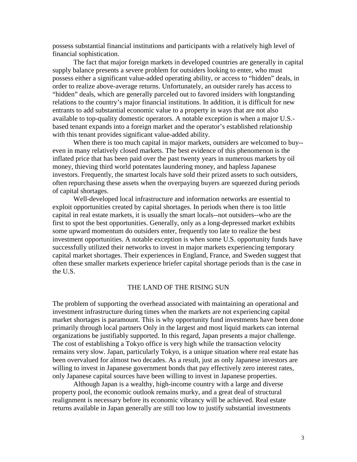possess substantial financial institutions and participants with a relatively high level of financial sophistication.

 The fact that major foreign markets in developed countries are generally in capital supply balance presents a severe problem for outsiders looking to enter, who must possess either a significant value-added operating ability, or access to "hidden" deals, in order to realize above-average returns. Unfortunately, an outsider rarely has access to "hidden" deals, which are generally parceled out to favored insiders with longstanding relations to the country's major financial institutions. In addition, it is difficult for new entrants to add substantial economic value to a property in ways that are not also available to top-quality domestic operators. A notable exception is when a major U.S. based tenant expands into a foreign market and the operator's established relationship with this tenant provides significant value-added ability.

When there is too much capital in major markets, outsiders are welcomed to buy-even in many relatively closed markets. The best evidence of this phenomenon is the inflated price that has been paid over the past twenty years in numerous markets by oil money, thieving third world potentates laundering money, and hapless Japanese investors. Frequently, the smartest locals have sold their prized assets to such outsiders, often repurchasing these assets when the overpaying buyers are squeezed during periods of capital shortages.

 Well-developed local infrastructure and information networks are essential to exploit opportunities created by capital shortages. In periods when there is too little capital in real estate markets, it is usually the smart locals--not outsiders--who are the first to spot the best opportunities. Generally, only as a long-depressed market exhibits some upward momentum do outsiders enter, frequently too late to realize the best investment opportunities. A notable exception is when some U.S. opportunity funds have successfully utilized their networks to invest in major markets experiencing temporary capital market shortages. Their experiences in England, France, and Sweden suggest that often these smaller markets experience briefer capital shortage periods than is the case in the U.S.

#### THE LAND OF THE RISING SUN

The problem of supporting the overhead associated with maintaining an operational and investment infrastructure during times when the markets are not experiencing capital market shortages is paramount. This is why opportunity fund investments have been done primarily through local partners Only in the largest and most liquid markets can internal organizations be justifiably supported. In this regard, Japan presents a major challenge. The cost of establishing a Tokyo office is very high while the transaction velocity remains very slow. Japan, particularly Tokyo, is a unique situation where real estate has been overvalued for almost two decades. As a result, just as only Japanese investors are willing to invest in Japanese government bonds that pay effectively zero interest rates, only Japanese capital sources have been willing to invest in Japanese properties.

 Although Japan is a wealthy, high-income country with a large and diverse property pool, the economic outlook remains murky, and a great deal of structural realignment is necessary before its economic vibrancy will be achieved. Real estate returns available in Japan generally are still too low to justify substantial investments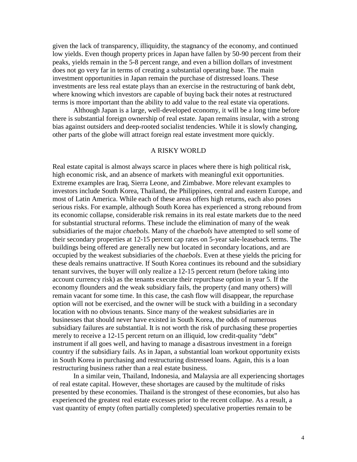given the lack of transparency, illiquidity, the stagnancy of the economy, and continued low yields. Even though property prices in Japan have fallen by 50-90 percent from their peaks, yields remain in the 5-8 percent range, and even a billion dollars of investment does not go very far in terms of creating a substantial operating base. The main investment opportunities in Japan remain the purchase of distressed loans. These investments are less real estate plays than an exercise in the restructuring of bank debt, where knowing which investors are capable of buying back their notes at restructured terms is more important than the ability to add value to the real estate via operations.

 Although Japan is a large, well-developed economy, it will be a long time before there is substantial foreign ownership of real estate. Japan remains insular, with a strong bias against outsiders and deep-rooted socialist tendencies. While it is slowly changing, other parts of the globe will attract foreign real estate investment more quickly.

## A RISKY WORLD

Real estate capital is almost always scarce in places where there is high political risk, high economic risk, and an absence of markets with meaningful exit opportunities. Extreme examples are Iraq, Sierra Leone, and Zimbabwe. More relevant examples to investors include South Korea, Thailand, the Philippines, central and eastern Europe, and most of Latin America. While each of these areas offers high returns, each also poses serious risks. For example, although South Korea has experienced a strong rebound from its economic collapse, considerable risk remains in its real estate markets due to the need for substantial structural reforms. These include the elimination of many of the weak subsidiaries of the major *chaebols*. Many of the *chaebols* have attempted to sell some of their secondary properties at 12-15 percent cap rates on 5-year sale-leaseback terms. The buildings being offered are generally new but located in secondary locations, and are occupied by the weakest subsidiaries of the *chaebols*. Even at these yields the pricing for these deals remains unattractive. If South Korea continues its rebound and the subsidiary tenant survives, the buyer will only realize a 12-15 percent return (before taking into account currency risk) as the tenants execute their repurchase option in year 5. If the economy flounders and the weak subsidiary fails, the property (and many others) will remain vacant for some time. In this case, the cash flow will disappear, the repurchase option will not be exercised, and the owner will be stuck with a building in a secondary location with no obvious tenants. Since many of the weakest subsidiaries are in businesses that should never have existed in South Korea, the odds of numerous subsidiary failures are substantial. It is not worth the risk of purchasing these properties merely to receive a 12-15 percent return on an illiquid, low credit-quality "debt" instrument if all goes well, and having to manage a disastrous investment in a foreign country if the subsidiary fails. As in Japan, a substantial loan workout opportunity exists in South Korea in purchasing and restructuring distressed loans. Again, this is a loan restructuring business rather than a real estate business.

 In a similar vein, Thailand, Indonesia, and Malaysia are all experiencing shortages of real estate capital. However, these shortages are caused by the multitude of risks presented by these economies. Thailand is the strongest of these economies, but also has experienced the greatest real estate excesses prior to the recent collapse. As a result, a vast quantity of empty (often partially completed) speculative properties remain to be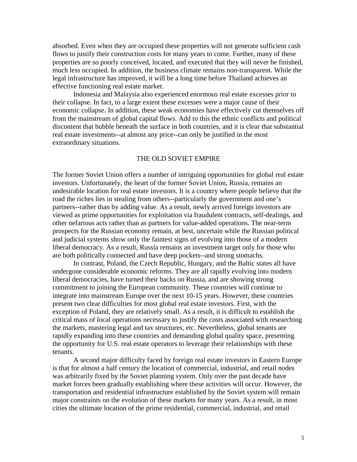absorbed. Even when they are occupied these properties will not generate sufficient cash flows to justify their construction costs for many years to come. Further, many of these properties are so poorly conceived, located, and executed that they will never be finished, much less occupied. In addition, the business climate remains non-transparent. While the legal infrastructure has improved, it will be a long time before Thailand achieves an effective functioning real estate market.

 Indonesia and Malaysia also experienced enormous real estate excesses prior to their collapse. In fact, to a large extent these excesses were a major cause of their economic collapse. In addition, these weak economies have effectively cut themselves off from the mainstream of global capital flows. Add to this the ethnic conflicts and political discontent that bubble beneath the surface in both countries, and it is clear that substantial real estate investments--at almost any price--can only be justified in the most extraordinary situations.

## THE OLD SOVIET EMPIRE

The former Soviet Union offers a number of intriguing opportunities for global real estate investors. Unfortunately, the heart of the former Soviet Union, Russia, remains an undesirable location for real estate investors. It is a country where people believe that the road the riches lies in stealing from others--particularly the government and one's partners--rather than by adding value. As a result, newly arrived foreign investors are viewed as prime opportunities for exploitation via fraudulent contracts, self-dealings, and other nefarious acts rather than as partners for value-added operations. The near-term prospects for the Russian economy remain, at best, uncertain while the Russian political and judicial systems show only the faintest signs of evolving into those of a modern liberal democracy. As a result, Russia remains an investment target only for those who are both politically connected and have deep pockets--and strong stomachs.

 In contrast, Poland, the Czech Republic, Hungary, and the Baltic states all have undergone considerable economic reforms. They are all rapidly evolving into modern liberal democracies, have turned their backs on Russia, and are showing strong commitment to joining the European community. These countries will continue to integrate into mainstream Europe over the next 10-15 years. However, these countries present two clear difficulties for most global real estate investors. First, with the exception of Poland, they are relatively small. As a result, it is difficult to establish the critical mass of local operations necessary to justify the costs associated with researching the markets, mastering legal and tax structures, etc. Nevertheless, global tenants are rapidly expanding into these countries and demanding global quality space, presenting the opportunity for U.S. real estate operators to leverage their relationships with these tenants.

 A second major difficulty faced by foreign real estate investors in Eastern Europe is that for almost a half century the location of commercial, industrial, and retail nodes was arbitrarily fixed by the Soviet planning system. Only over the past decade have market forces been gradually establishing where these activities will occur. However, the transportation and residential infrastructure established by the Soviet system will remain major constraints on the evolution of these markets for many years. As a result, in most cities the ultimate location of the prime residential, commercial, industrial, and retail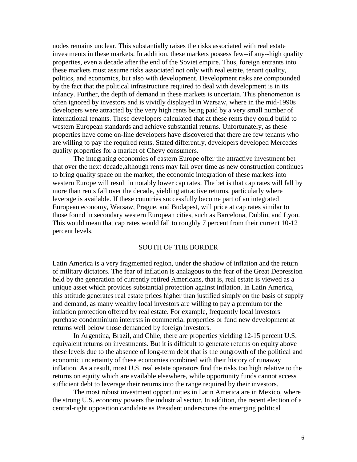nodes remains unclear. This substantially raises the risks associated with real estate investments in these markets. In addition, these markets possess few--if any--high quality properties, even a decade after the end of the Soviet empire. Thus, foreign entrants into these markets must assume risks associated not only with real estate, tenant quality, politics, and economics, but also with development. Development risks are compounded by the fact that the political infrastructure required to deal with development is in its infancy. Further, the depth of demand in these markets is uncertain. This phenomenon is often ignored by investors and is vividly displayed in Warsaw, where in the mid-1990s developers were attracted by the very high rents being paid by a very small number of international tenants. These developers calculated that at these rents they could build to western European standards and achieve substantial returns. Unfortunately, as these properties have come on-line developers have discovered that there are few tenants who are willing to pay the required rents. Stated differently, developers developed Mercedes quality properties for a market of Chevy consumers.

 The integrating economies of eastern Europe offer the attractive investment bet that over the next decade,although rents may fall over time as new construction continues to bring quality space on the market, the economic integration of these markets into western Europe will result in notably lower cap rates. The bet is that cap rates will fall by more than rents fall over the decade, yielding attractive returns, particularly where leverage is available. If these countries successfully become part of an integrated European economy, Warsaw, Prague, and Budapest, will price at cap rates similar to those found in secondary western European cities, such as Barcelona, Dublin, and Lyon. This would mean that cap rates would fall to roughly 7 percent from their current 10-12 percent levels.

## SOUTH OF THE BORDER

Latin America is a very fragmented region, under the shadow of inflation and the return of military dictators. The fear of inflation is analagous to the fear of the Great Depression held by the generation of currently retired Americans, that is, real estate is viewed as a unique asset which provides substantial protection against inflation. In Latin America, this attitude generates real estate prices higher than justified simply on the basis of supply and demand, as many wealthy local investors are willing to pay a premium for the inflation protection offered by real estate. For example, frequently local investors purchase condominium interests in commercial properties or fund new development at returns well below those demanded by foreign investors.

 In Argentina, Brazil, and Chile, there are properties yielding 12-15 percent U.S. equivalent returns on investments. But it is difficult to generate returns on equity above these levels due to the absence of long-term debt that is the outgrowth of the political and economic uncertainty of these economies combined with their history of runaway inflation. As a result, most U.S. real estate operators find the risks too high relative to the returns on equity which are available elsewhere, while opportunity funds cannot access sufficient debt to leverage their returns into the range required by their investors.

 The most robust investment opportunities in Latin America are in Mexico, where the strong U.S. economy powers the industrial sector. In addition, the recent election of a central-right opposition candidate as President underscores the emerging political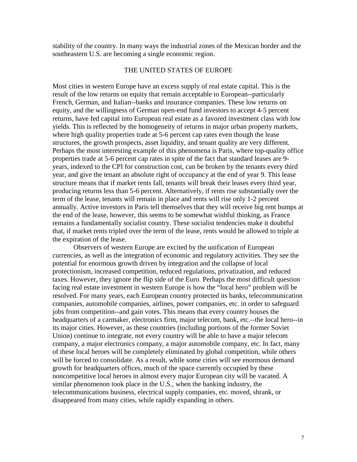stability of the country. In many ways the industrial zones of the Mexican border and the southeastern U.S. are becoming a single economic region.

## THE UNITED STATES OF EUROPE

Most cities in western Europe have an excess supply of real estate capital. This is the result of the low returns on equity that remain acceptable to European--particularly French, German, and Italian--banks and insurance companies. These low returns on equity, and the willingness of German open-end fund investors to accept 4-5 percent returns, have fed capital into European real estate as a favored investment class with low yields. This is reflected by the homogeneity of returns in major urban property markets, where high quality properties trade at 5-6 percent cap rates even though the lease structures, the growth prospects, asset liquidity, and tenant quality are very different. Perhaps the most interesting example of this phenomena is Paris, where top-quality office properties trade at 5-6 percent cap rates in spite of the fact that standard leases are 9 years, indexed to the CPI for construction cost, can be broken by the tenants every third year, and give the tenant an absolute right of occupancy at the end of year 9. This lease structure means that if market rents fall, tenants will break their leases every third year, producing returns less than 5-6 percent. Alternatively, if rents rise substantially over the term of the lease, tenants will remain in place and rents will rise only 1-2 percent annually. Active investors in Paris tell themselves that they will receive big rent bumps at the end of the lease, however, this seems to be somewhat wishful thinking, as France remains a fundamentally socialist country. These socialist tendencies make it doubtful that, if market rents tripled over the term of the lease, rents would be allowed to triple at the expiration of the lease.

 Observers of western Europe are excited by the unification of European currencies, as well as the integration of economic and regulatory activities. They see the potential for enormous growth driven by integration and the collapse of local protectionism, increased competition, reduced regulations, privatization, and reduced taxes. However, they ignore the flip side of the Euro. Perhaps the most difficult question facing real estate investment in western Europe is how the "local hero" problem will be resolved. For many years, each European country protected its banks, telecommunication companies, automobile companies, airlines, power companies, etc. in order to safeguard jobs from competition--and gain votes. This means that every country houses the headquarters of a carmaker, electronics firm, major telecom, bank, etc.--the local hero--in its major cities. However, as these countries (including portions of the former Soviet Union) continue to integrate, not every country will be able to have a major telecom company, a major electronics company, a major automobile company, etc. In fact, many of these local heroes will be completely eliminated by global competition, while others will be forced to consolidate. As a result, while some cities will see enormous demand growth for headquarters offices, much of the space currently occupied by these noncompetitive local heroes in almost every major European city will be vacated. A similar phenomenon took place in the U.S., when the banking industry, the telecommunications business, electrical supply companies, etc. moved, shrank, or disappeared from many cities, while rapidly expanding in others.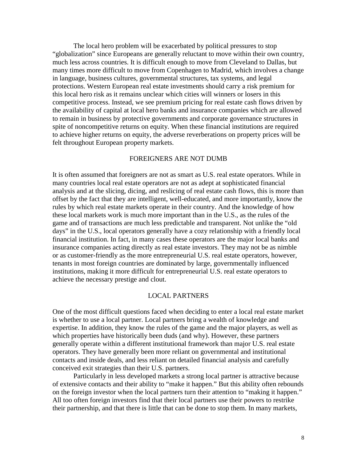The local hero problem will be exacerbated by political pressures to stop "globalization" since Europeans are generally reluctant to move within their own country, much less across countries. It is difficult enough to move from Cleveland to Dallas, but many times more difficult to move from Copenhagen to Madrid, which involves a change in language, business cultures, governmental structures, tax systems, and legal protections. Western European real estate investments should carry a risk premium for this local hero risk as it remains unclear which cities will winners or losers in this competitive process. Instead, we see premium pricing for real estate cash flows driven by the availability of capital at local hero banks and insurance companies which are allowed to remain in business by protective governments and corporate governance structures in spite of noncompetitive returns on equity. When these financial institutions are required to achieve higher returns on equity, the adverse reverberations on property prices will be felt throughout European property markets.

## FOREIGNERS ARE NOT DUMB

It is often assumed that foreigners are not as smart as U.S. real estate operators. While in many countries local real estate operators are not as adept at sophisticated financial analysis and at the slicing, dicing, and reslicing of real estate cash flows, this is more than offset by the fact that they are intelligent, well-educated, and more importantly, know the rules by which real estate markets operate in their country. And the knowledge of how these local markets work is much more important than in the U.S., as the rules of the game and of transactions are much less predictable and transparent. Not unlike the "old days" in the U.S., local operators generally have a cozy relationship with a friendly local financial institution. In fact, in many cases these operators are the major local banks and insurance companies acting directly as real estate investors. They may not be as nimble or as customer-friendly as the more entrepreneurial U.S. real estate operators, however, tenants in most foreign countries are dominated by large, governmentally influenced institutions, making it more difficult for entrepreneurial U.S. real estate operators to achieve the necessary prestige and clout.

## LOCAL PARTNERS

One of the most difficult questions faced when deciding to enter a local real estate market is whether to use a local partner. Local partners bring a wealth of knowledge and expertise. In addition, they know the rules of the game and the major players, as well as which properties have historically been duds (and why). However, these partners generally operate within a different institutional framework than major U.S. real estate operators. They have generally been more reliant on governmental and institutional contacts and inside deals, and less reliant on detailed financial analysis and carefully conceived exit strategies than their U.S. partners.

 Particularly in less developed markets a strong local partner is attractive because of extensive contacts and their ability to "make it happen." But this ability often rebounds on the foreign investor when the local partners turn their attention to "making it happen." All too often foreign investors find that their local partners use their powers to restrike their partnership, and that there is little that can be done to stop them. In many markets,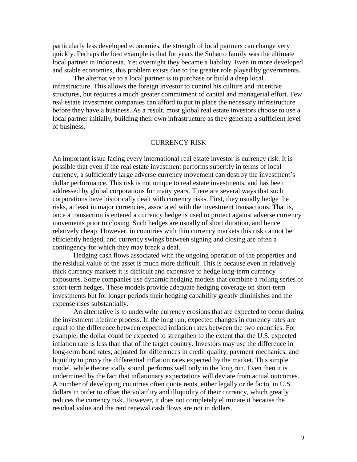particularly less developed economies, the strength of local partners can change very quickly. Perhaps the best example is that for years the Suharto family was the ultimate local partner in Indonesia. Yet overnight they became a liability. Even in more developed and stable economies, this problem exists due to the greater role played by governments.

 The alternative to a local partner is to purchase or build a deep local infrastructure. This allows the foreign investor to control his culture and incentive structures, but requires a much greater commitment of capital and managerial effort. Few real estate investment companies can afford to put in place the necessary infrastructure before they have a business. As a result, most global real estate investors choose to use a local partner initially, building their own infrastructure as they generate a sufficient level of business.

## CURRENCY RISK

An important issue facing every international real estate investor is currency risk. It is possible that even if the real estate investment performs superbly in terms of local currency, a sufficiently large adverse currency movement can destroy the investment's dollar performance. This risk is not unique to real estate investments, and has been addressed by global corporations for many years. There are several ways that such corporations have historically dealt with currency risks. First, they usually hedge the risks, at least in major currencies, associated with the investment transactions. That is, once a transaction is entered a currency hedge is used to protect against adverse currency movements prior to closing. Such hedges are usually of short duration, and hence relatively cheap. However, in countries with thin currency markets this risk cannot be efficiently hedged, and currency swings between signing and closing are often a contingency for which they may break a deal.

 Hedging cash flows associated with the ongoing operation of the properties and the residual value of the asset is much more difficult. This is because even in relatively thick currency markets it is difficult and expensive to hedge long-term currency exposures. Some companies use dynamic hedging models that combine a rolling series of short-term hedges. These models provide adequate hedging coverage on short-term investments but for longer periods their hedging capability greatly diminishes and the expense rises substantially.

 An alternative is to underwrite currency erosions that are expected to occur during the investment lifetime process. In the long run, expected changes in currency rates are equal to the difference between expected inflation rates between the two countries. For example, the dollar could be expected to strengthen to the extent that the U.S. expected inflation rate is less than that of the target country. Investors may use the difference in long-term bond rates, adjusted for differences in credit quality, payment mechanics, and liquidity to proxy the differential inflation rates expected by the market. This simple model, while theoretically sound, performs well only in the long run. Even then it is undermined by the fact that inflationary expectations will deviate from actual outcomes. A number of developing countries often quote rents, either legally or de facto, in U.S. dollars in order to offset the volatility and illiquidity of their currency, which greatly reduces the currency risk. However, it does not completely eliminate it because the residual value and the rent renewal cash flows are not in dollars.